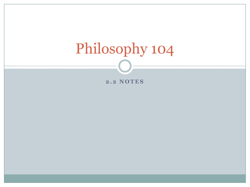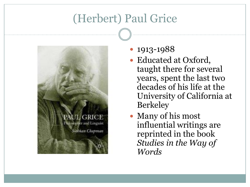# (Herbert) Paul Grice



- 1913-1988
- Educated at Oxford, taught there for several years, spent the last two decades of his life at the University of California at Berkeley
- Many of his most influential writings are reprinted in the book *Studies in the Way of Words*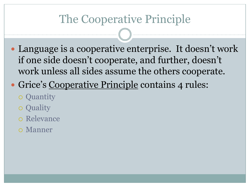# The Cooperative Principle

- Language is a cooperative enterprise. It doesn't work if one side doesn't cooperate, and further, doesn't work unless all sides assume the others cooperate.
- Grice's Cooperative Principle contains 4 rules:
	- o Quantity
	- o Quality
	- Relevance
	- Manner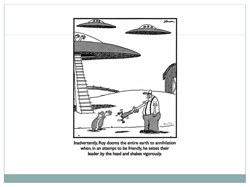

Inadvertently, Roy dooms the entire earth to annihilation when, in an attempt to be friendly, he seizes their leader by the head and shakes vigorously.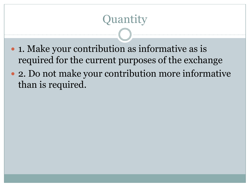# Quantity

- 1. Make your contribution as informative as is required for the current purposes of the exchange
- 2. Do not make your contribution more informative than is required.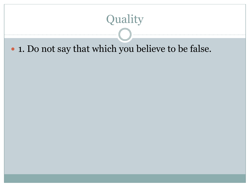# Quality

#### 1. Do not say that which you believe to be false.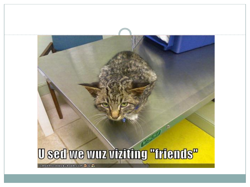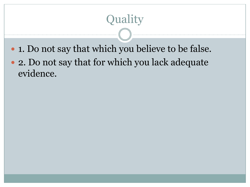# **Quality**

- 1. Do not say that which you believe to be false.
- 2. Do not say that for which you lack adequate evidence.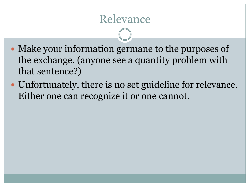### Relevance

- Make your information germane to the purposes of the exchange. (anyone see a quantity problem with that sentence?)
- Unfortunately, there is no set guideline for relevance. Either one can recognize it or one cannot.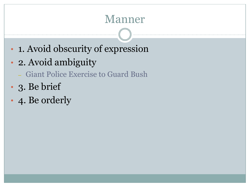### Manner

- 1. Avoid obscurity of expression
- 2. Avoid ambiguity
	- Giant Police Exercise to Guard Bush
- 3. Be brief
- 4. Be orderly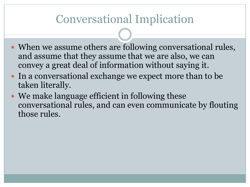## Conversational Implication

- When we assume others are following conversational rules, and assume that they assume that we are also, we can convey a great deal of information without saying it.
- In a conversational exchange we expect more than to be taken literally.
- We make language efficient in following these conversational rules, and can even communicate by flouting those rules.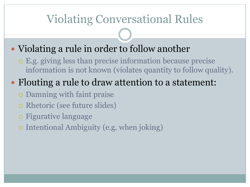## Violating Conversational Rules

#### • Violating a rule in order to follow another

 E.g. giving less than precise information because precise information is not known (violates quantity to follow quality).

### • Flouting a rule to draw attention to a statement:

- Damning with faint praise
- Rhetoric (see future slides)
- Figurative language
- Intentional Ambiguity (e.g. when joking)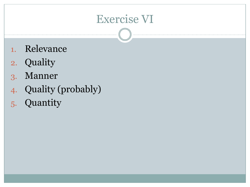## Exercise VI

- 1. Relevance
- 2. Quality
- 3. Manner
- 4. Quality (probably)
- 5. Quantity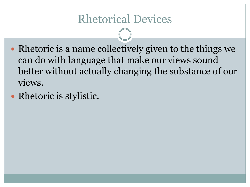### Rhetorical Devices

- Rhetoric is a name collectively given to the things we can do with language that make our views sound better without actually changing the substance of our views.
- Rhetoric is stylistic.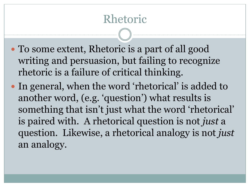# Rhetoric

- To some extent, Rhetoric is a part of all good writing and persuasion, but failing to recognize rhetoric is a failure of critical thinking.
- In general, when the word 'rhetorical' is added to another word, (e.g. 'question') what results is something that isn't just what the word 'rhetorical' is paired with. A rhetorical question is not *just* a question. Likewise, a rhetorical analogy is not *just* an analogy.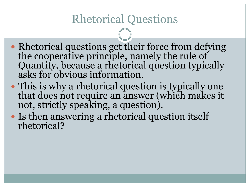### Rhetorical Questions

- Rhetorical questions get their force from defying the cooperative principle, namely the rule of Quantity, because a rhetorical question typically asks for obvious information.
- This is why a rhetorical question is typically one that does not require an answer (which makes it not, strictly speaking, a question).
- Is then answering a rhetorical question itself rhetorical?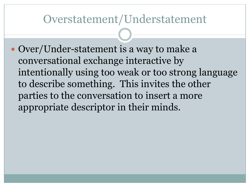#### Overstatement/Understatement

 Over/Under-statement is a way to make a conversational exchange interactive by intentionally using too weak or too strong language to describe something. This invites the other parties to the conversation to insert a more appropriate descriptor in their minds.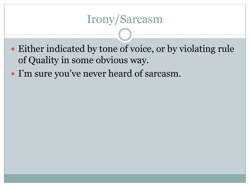### Irony/Sarcasm

- Either indicated by tone of voice, or by violating rule of Quality in some obvious way.
- I'm sure you've never heard of sarcasm.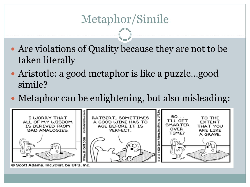- Are violations of Quality because they are not to be taken literally
- Aristotle: a good metaphor is like a puzzle...good simile?
- Metaphor can be enlightening, but also misleading:



© Scott Adams, Inc./Dist. by UFS, Inc.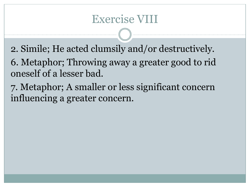### Exercise VIII

- 2. Simile; He acted clumsily and/or destructively.
- 6. Metaphor; Throwing away a greater good to rid oneself of a lesser bad.
- 7. Metaphor; A smaller or less significant concern influencing a greater concern.